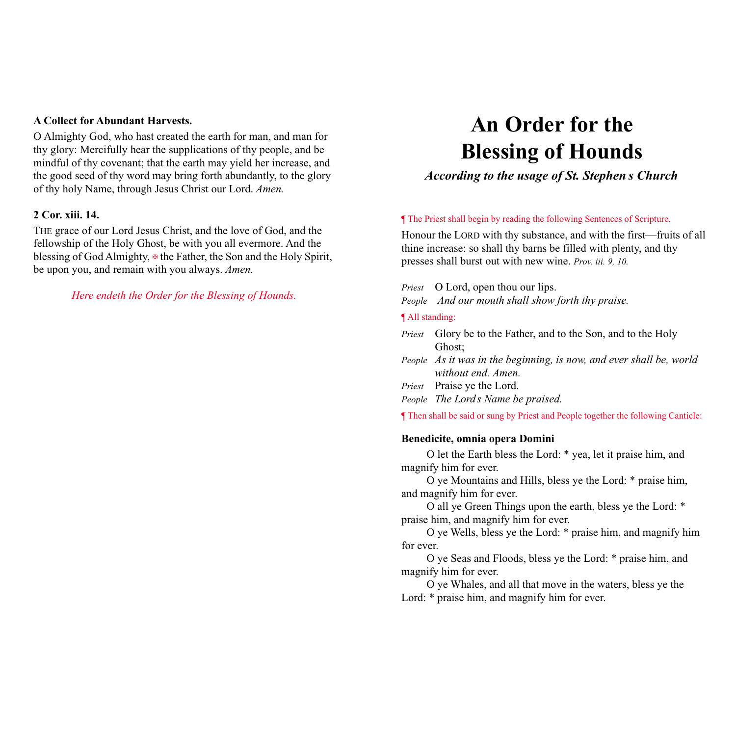## **A Collect for Abundant Harvests.**

O Almighty God, who hast created the earth for man, and man for thy glory: Mercifully hear the supplications of thy people, and be mindful of thy covenant; that the earth may yield her increase, and the good seed of thy word may bring forth abundantly, to the glory of thy holy Name, through Jesus Christ our Lord. *Amen.*

#### **2 Cor. xiii. 14.**

THE grace of our Lord Jesus Christ, and the love of God, and the fellowship of the Holy Ghost, be with you all evermore. And the blessing of God Almighty,  $\overline{\Phi}$  the Father, the Son and the Holy Spirit, be upon you, and remain with you always. *Amen.*

## *Here endeth the Order for the Blessing of Hounds.*

# **An Order for the Blessing of Hounds**

# *According to the usage of St. Stephen s Church*

#### ¶ The Priest shall begin by reading the following Sentences of Scripture.

Honour the LORD with thy substance, and with the first—fruits of all thine increase: so shall thy barns be filled with plenty, and thy presses shall burst out with new wine. *Prov. iii. 9, 10.*

*Priest* O Lord, open thou our lips.

*People And our mouth shall show forth thy praise.*

#### ¶ All standing:

- *Priest* Glory be to the Father, and to the Son, and to the Holy Ghost;
- *People As it was in the beginning, is now, and ever shall be, world without end. Amen.*
- *Priest* Praise ye the Lord.

*People The Lords Name be praised.*

¶ Then shall be said or sung by Priest and People together the following Canticle:

#### **Benedicite, omnia opera Domini**

O let the Earth bless the Lord: \* yea, let it praise him, and magnify him for ever.

O ye Mountains and Hills, bless ye the Lord: \* praise him, and magnify him for ever.

O all ye Green Things upon the earth, bless ye the Lord: \* praise him, and magnify him for ever.

O ye Wells, bless ye the Lord: \* praise him, and magnify him for ever.

O ye Seas and Floods, bless ye the Lord: \* praise him, and magnify him for ever.

O ye Whales, and all that move in the waters, bless ye the Lord:  $*$  praise him, and magnify him for ever.